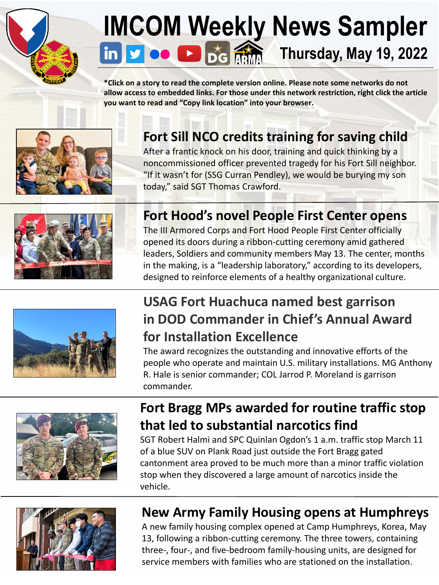

# **[IM]((99+) U.S. Army Installation Management Command: Overview | LinkedIn)[CO](www.twitter.com/ArmyIMCOM)[M](www.youtube.com/installationMgt) [Wee](https://apps.apple.com/us/app/digital-garrison/id1484777325)[kly](https://www.armymaintenance.com/arma) News Sampler**<br> **in P oo B D of MM** Thursday, May 19, 2022 **Thursday, May 19, 2022**

**\*Click on a story to read the complete version online. Please note some networks do not allow access to embedded links. For those under this network restriction, right click the article you want to read and "Copy link location" into your browser.** 



#### **[Fort Sill NCO credits training for saving child](https://www.army.mil/article/256631/nco_credits_training_for_saving_child)**

After a frantic knock on his door, training and quick thinking by a noncommissioned officer prevented tragedy for his Fort Sill neighbor. "If it wasn't for (SSG Curran Pendley), we would be burying my son today," said SGT Thomas Crawford.



#### **[Fort Hood's novel People First Center opens](https://www.army.mil/article/256716/fort_hoods_novel_people_first_center_officially_opens_doors)**

The III Armored Corps and Fort Hood People First Center officially opened its doors during a ribbon-cutting ceremony amid gathered leaders, Soldiers and community members May 13. The center, months in the making, is a "leadership laboratory," according to its developers, designed to reinforce elements of a healthy organizational culture.



#### **USAG Fort Huachuca named best garrison [in DOD Commander in Chief's Annual Award](https://www.defense.gov/News/Releases/Release/Article/3033655/dod-announces-winners-of-the-2022-commander-in-chiefs-annual-award-for-installa/) for Installation Excellence**

The award recognizes the outstanding and innovative efforts of the people who operate and maintain U.S. military installations. MG Anthony R. Hale is senior commander; COL Jarrod P. Moreland is garrison commander.



#### **[Fort Bragg MPs awarded for routine traffic stop](https://www.army.mil/article/256381)  that led to substantial narcotics find**

SGT Robert Halmi and SPC Quinlan Ogdon's 1 a.m. traffic stop March 11 of a blue SUV on Plank Road just outside the Fort Bragg gated cantonment area proved to be much more than a minor traffic violation stop when they discovered a large amount of narcotics inside the vehicle.



#### **[New Army Family Housing opens at Humphreys](https://www.army.mil/article/256684/new_army_family_housing_opens_at_camp_humphreys_korea)**

A new family housing complex opened at Camp Humphreys, Korea, May 13, following a ribbon-cutting ceremony. The three towers, containing three-, four-, and five-bedroom family-housing units, are designed for service members with families who are stationed on the installation.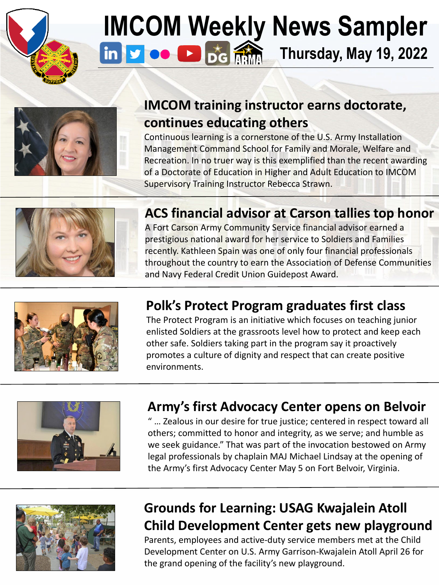

# **[IM]((99+) U.S. Army Installation Management Command: Overview | LinkedIn)[CO](www.twitter.com/ArmyIMCOM)[M W](www.youtube.com/installationMgt)[ee](https://apps.apple.com/us/app/digital-garrison/id1484777325)[kly N](https://www.armymaintenance.com/arma)ews Sampler** in Form  $\frac{1}{2}$  of  $\frac{1}{2}$   $\frac{1}{2}$  Thursday, May 19, 2022 **Thursday, May 19, 2022**



#### **[IMCOM training instructor earns doctorate,](https://www.army.mil/article/256788)  continues educating others**

Continuous learning is a cornerstone of the U.S. Army Installation Management Command School for Family and Morale, Welfare and Recreation. In no truer way is this exemplified than the recent awarding of a Doctorate of Education in Higher and Adult Education to IMCOM Supervisory Training Instructor Rebecca Strawn.



#### **[ACS financial advisor at Carson tallies top honor](https://www.army.mil/article/256694)**

A Fort Carson Army Community Service financial advisor earned a prestigious national award for her service to Soldiers and Families recently. Kathleen Spain was one of only four financial professionals throughout the country to earn the Association of Defense Communities and Navy Federal Credit Union Guidepost Award.



#### **[Polk's Protect Program graduates first class](https://www.army.mil/article/256780)**

The Protect Program is an initiative which focuses on teaching junior enlisted Soldiers at the grassroots level how to protect and keep each other safe. Soldiers taking part in the program say it proactively promotes a culture of dignity and respect that can create positive environments.



#### **[Army's first Advocacy Center opens on Belvoir](https://www.dvidshub.net/news/420373/armys-first-advocacy-center-opens-fort-belvoir)**

" … Zealous in our desire for true justice; centered in respect toward all others; committed to honor and integrity, as we serve; and humble as we seek guidance." That was part of the invocation bestowed on Army legal professionals by chaplain MAJ Michael Lindsay at the opening of the Army's first Advocacy Center May 5 on Fort Belvoir, Virginia.



#### **Grounds for Learning: USAG Kwajalein Atoll [Child Development Center gets new playground](https://www.dvidshub.net/news/420426/grounds-learning-usag-ka-child-development-center-receives-new-playground)**

Parents, employees and active-duty service members met at the Child Development Center on U.S. Army Garrison-Kwajalein Atoll April 26 for the grand opening of the facility's new playground.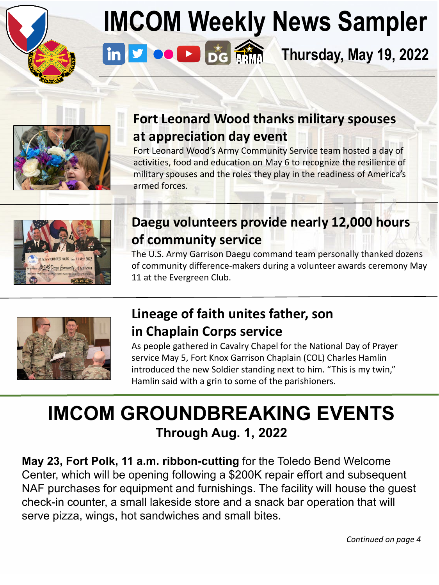

### **IMCOM [Wee](https://apps.apple.com/us/app/digital-garrison/id1484777325)[kly](https://www.armymaintenance.com/arma) News Sampler Thursday, May 19, 2022**



#### **[Fort Leonard Wood thanks military spouses](https://www.army.mil/article/256611/fort_leonard_wood_thanks_military_spouses_at_appreciation_day_event) at appreciation day event**

Fort Leonard Wood's Army Community Service team hosted a day of activities, food and education on May 6 to recognize the resilience of military spouses and the roles they play in the readiness of America's armed forces.



#### **[Daegu volunteers provide nearly 12,000 hours](https://www.army.mil/article/256726) of community service**

The U.S. Army Garrison Daegu command team personally thanked dozens of community difference-makers during a volunteer awards ceremony May 11 at the Evergreen Club.



#### **[Lineage of faith unites father, son](https://www.army.mil/article/256625) in Chaplain Corps service**

As people gathered in Cavalry Chapel for the National Day of Prayer service May 5, Fort Knox Garrison Chaplain (COL) Charles Hamlin introduced the new Soldier standing next to him. "This is my twin," Hamlin said with a grin to some of the parishioners.

### **IMCOM GROUNDBREAKING EVENTS Through Aug. 1, 2022**

**May 23, Fort Polk, 11 a.m. ribbon-cutting** for the Toledo Bend Welcome Center, which will be opening following a \$200K repair effort and subsequent NAF purchases for equipment and furnishings. The facility will house the guest check-in counter, a small lakeside store and a snack bar operation that will serve pizza, wings, hot sandwiches and small bites.

*Continued on page 4*